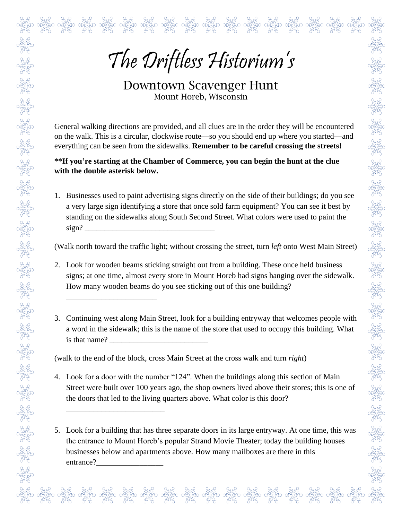දි ජුනුව ජුනුව ජුන්ව ජුන්ව ජුන්ව ජුන්ව ජුන්ව ජුන්ව ජුන්ව ජුන්ව ජුන්ව ජුන්ව ජුන්ව ජුන්ව ජුන්ව ජුන්ව ජුන්ව<br>ජිත රස්විසිත රස්විසිත රස්විසිත රස්විසිත රස්විසිත රස්විසිත රස්විසිත රස්විසිත රස්විසිත රස්විසිත රස්විසිත රස්විස<br>දි ජුන

Downtown Scavenger Hunt Mount Horeb, Wisconsin

General walking directions are provided, and all clues are in the order they will be encountered on the walk. This is a circular, clockwise route—so you should end up where you started—and everything can be seen from the sidewalks. **Remember to be careful crossing the streets!**

**\*\*If you're starting at the Chamber of Commerce, you can begin the hunt at the clue with the double asterisk below.**

1. Businesses used to paint advertising signs directly on the side of their buildings; do you see a very large sign identifying a store that once sold farm equipment? You can see it best by standing on the sidewalks along South Second Street. What colors were used to paint the  $sign?$ 

(Walk north toward the traffic light; without crossing the street, turn *left* onto West Main Street)

- 2. Look for wooden beams sticking straight out from a building. These once held business signs; at one time, almost every store in Mount Horeb had signs hanging over the sidewalk. How many wooden beams do you see sticking out of this one building?
- 3. Continuing west along Main Street, look for a building entryway that welcomes people with a word in the sidewalk; this is the name of the store that used to occupy this building. What is that name?

(walk to the end of the block, cross Main Street at the cross walk and turn *right*)

\_\_\_\_\_\_\_\_\_\_\_\_\_\_\_\_\_\_\_\_\_\_\_

\_\_\_\_\_\_\_\_\_\_\_\_\_\_\_\_\_\_\_\_\_\_\_\_\_

4. Look for a door with the number "124". When the buildings along this section of Main Street were built over 100 years ago, the shop owners lived above their stores; this is one of the doors that led to the living quarters above. What color is this door?

5. Look for a building that has three separate doors in its large entryway. At one time, this was the entrance to Mount Horeb's popular Strand Movie Theater; today the building houses businesses below and apartments above. How many mailboxes are there in this entrance?